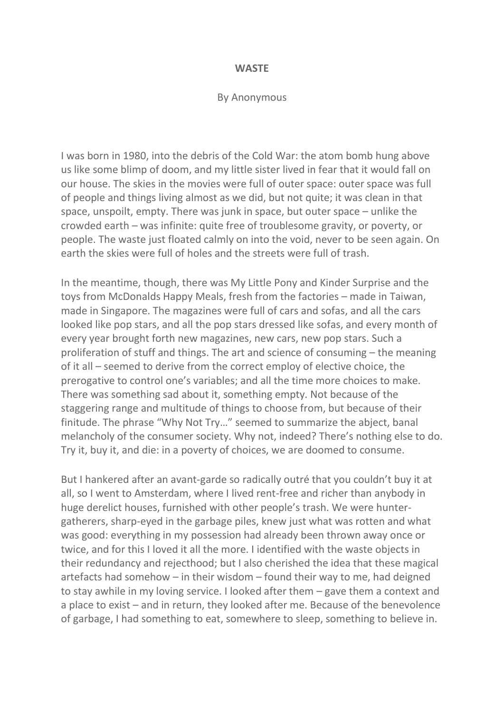## **WASTE**

## By Anonymous

I was born in 1980, into the debris of the Cold War: the atom bomb hung above us like some blimp of doom, and my little sister lived in fear that it would fall on our house. The skies in the movies were full of outer space: outer space was full of people and things living almost as we did, but not quite; it was clean in that space, unspoilt, empty. There was junk in space, but outer space – unlike the crowded earth – was infinite: quite free of troublesome gravity, or poverty, or people. The waste just floated calmly on into the void, never to be seen again. On earth the skies were full of holes and the streets were full of trash.

In the meantime, though, there was My Little Pony and Kinder Surprise and the toys from McDonalds Happy Meals, fresh from the factories – made in Taiwan, made in Singapore. The magazines were full of cars and sofas, and all the cars looked like pop stars, and all the pop stars dressed like sofas, and every month of every year brought forth new magazines, new cars, new pop stars. Such a proliferation of stuff and things. The art and science of consuming – the meaning of it all – seemed to derive from the correct employ of elective choice, the prerogative to control one's variables; and all the time more choices to make. There was something sad about it, something empty. Not because of the staggering range and multitude of things to choose from, but because of their finitude. The phrase "Why Not Try…" seemed to summarize the abject, banal melancholy of the consumer society. Why not, indeed? There's nothing else to do. Try it, buy it, and die: in a poverty of choices, we are doomed to consume.

But I hankered after an avant-garde so radically outré that you couldn't buy it at all, so I went to Amsterdam, where I lived rent-free and richer than anybody in huge derelict houses, furnished with other people's trash. We were huntergatherers, sharp-eyed in the garbage piles, knew just what was rotten and what was good: everything in my possession had already been thrown away once or twice, and for this I loved it all the more. I identified with the waste objects in their redundancy and rejecthood; but I also cherished the idea that these magical artefacts had somehow – in their wisdom – found their way to me, had deigned to stay awhile in my loving service. I looked after them – gave them a context and a place to exist – and in return, they looked after me. Because of the benevolence of garbage, I had something to eat, somewhere to sleep, something to believe in.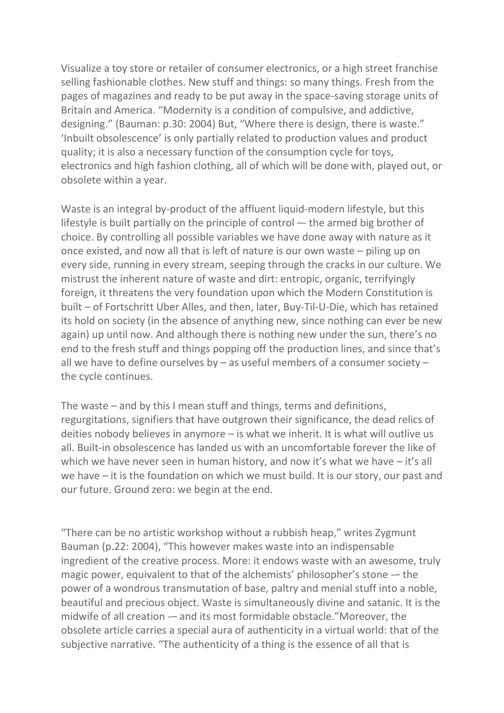Visualize a toy store or retailer of consumer electronics, or a high street franchise selling fashionable clothes. New stuff and things: so many things. Fresh from the pages of magazines and ready to be put away in the space-saving storage units of Britain and America. "Modernity is a condition of compulsive, and addictive, designing." (Bauman: p.30: 2004) But, "Where there is design, there is waste." 'Inbuilt obsolescence' is only partially related to production values and product quality; it is also a necessary function of the consumption cycle for toys, electronics and high fashion clothing, all of which will be done with, played out, or obsolete within a year.

Waste is an integral by-product of the affluent liquid-modern lifestyle, but this lifestyle is built partially on the principle of control –- the armed big brother of choice. By controlling all possible variables we have done away with nature as it once existed, and now all that is left of nature is our own waste – piling up on every side, running in every stream, seeping through the cracks in our culture. We mistrust the inherent nature of waste and dirt: entropic, organic, terrifyingly foreign, it threatens the very foundation upon which the Modern Constitution is built – of Fortschritt Uber Alles, and then, later, Buy-Til-U-Die, which has retained its hold on society (in the absence of anything new, since nothing can ever be new again) up until now. And although there is nothing new under the sun, there's no end to the fresh stuff and things popping off the production lines, and since that's all we have to define ourselves by – as useful members of a consumer society – the cycle continues.

The waste – and by this I mean stuff and things, terms and definitions, regurgitations, signifiers that have outgrown their significance, the dead relics of deities nobody believes in anymore – is what we inherit. It is what will outlive us all. Built-in obsolescence has landed us with an uncomfortable forever the like of which we have never seen in human history, and now it's what we have – it's all we have – it is the foundation on which we must build. It is our story, our past and our future. Ground zero: we begin at the end.

"There can be no artistic workshop without a rubbish heap," writes Zygmunt Bauman (p.22: 2004), "This however makes waste into an indispensable ingredient of the creative process. More: it endows waste with an awesome, truly magic power, equivalent to that of the alchemists' philosopher's stone -– the power of a wondrous transmutation of base, paltry and menial stuff into a noble, beautiful and precious object. Waste is simultaneously divine and satanic. It is the midwife of all creation -– and its most formidable obstacle."Moreover, the obsolete article carries a special aura of authenticity in a virtual world: that of the subjective narrative. "The authenticity of a thing is the essence of all that is